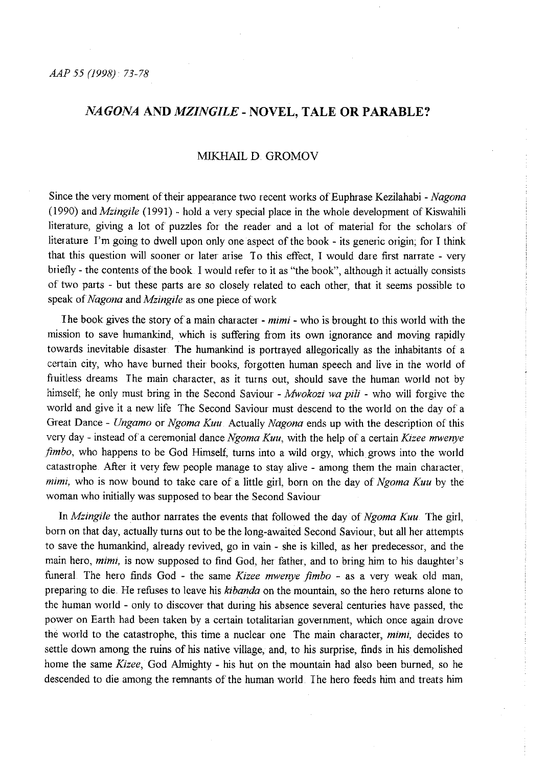# *NAGONA* **AND** *MZINGILE-* **NOVEL, TALE OR PARABLE?**

## MIKHAIL D. GROMOV

Since the very moment of their appearance two recent works of Euphrase Kezilahabi - *Nagona* (1990) and *Mzingile* (1991) - hold a very special place in the whole development of Kiswahili literature, giving a lot of puzzles for the reader and a Jot of material for the scholars of literature I'm going to dwell upon only one aspect of the book - its generic origin; for I think that this question will sooner or later arise To this effect, I would dare first narrate - very briefly - the contents of the book I would refer to it as "the book", although it actually consists of two parts - but these parts are so closely related to each other, that it seems possible to speak of *Nagona* and *Mzingile* as one piece of work

I he book gives the story of a main character - *mimi* - who is brought to this world with the mission to save humankind, which is suffering from its own ignorance and moving rapidly towards inevitable disaster The humankind is portrayed allegorically as the inhabitants of a certain city, who have burned their books, forgotten human speech and live in the world of fruitless dreams The main character, as it turns out, should save the human world not by himself; he only must bring in the Second Saviour - Mwokozi wa pili - who will forgive the world and give it a new life The Second Saviour must descend to the world on the day of a Great Dance - *Ungamo* or *Ngoma Kuu* Actually *Nagana* ends up with the description of this very day - instead of a ceremonial dance *Ngoma Kuu*, with the help of a certain *Kizee mwenye fimbo,* who happens to be God Himself, turns into a wild orgy, which grows into the world catastrophe After it very few people manage to stay alive - among them the main character, *mimz,* who is now bound to take care of a little girl, born on the day of *Ngama Kuu* by the woman who initially was supposed to bear the Second Saviour

In *Mzingile* the author narrates the events that followed the day of *Ngoma Kuu* The girl, born on that day, actually turns out to be the long-awaited Second Saviour, but all her attempts to save the humankind, already revived, go in vain - she is killed, as her predecessor, and the main hero, *mimi,* is now supposed to find God, her father, and to bring him to his daughter's funeral. The hero finds God - the same *Kizee mwenve fimbo* - as a very weak old man, preparing to die. He refuses to leave his *kibanda* on the mountain, so the hero returns alone to the human world - only to discover that during his absence several centuries have passed, the power on Earth had been taken by a certain totalitarian government, which once again drove the world to the catastrophe, this time a nuclear one The main character, *mimi,* decides to settle down among the ruins of his native village, and, to his surprise, finds in his demolished home the same *Kizee,* God Almighty - his hut on the mountain had also been burned, so he descended to die among the remnants of the human world The hero feeds him and treats him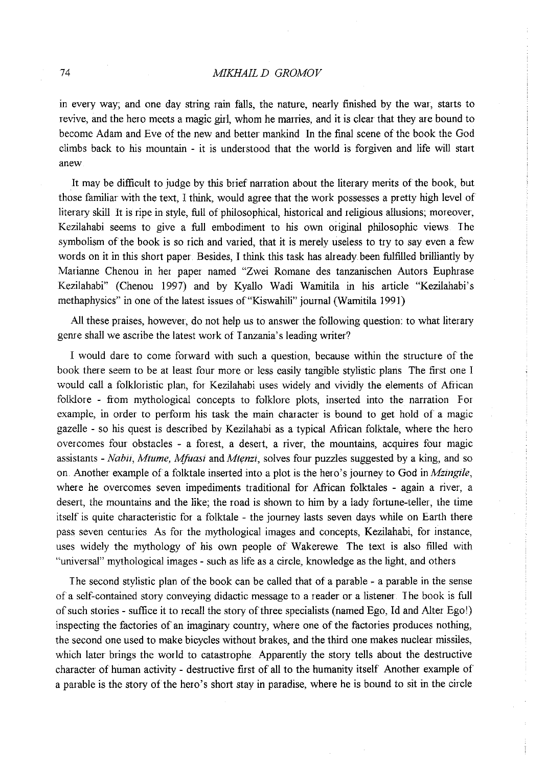#### 74 *MIKHAIL D GROMOV*

in every way; and one day string rain falls, the nature, nearly finished by the war, starts to revive, and the hero meets a magic girl, whom he manies, and it is clear that they are bound to become Adam and Eve of the new and better mankind In the final scene of the book the God climbs back to his mountain - it is understood that the world is forgiven and life will start anew

It may be difficult to judge by this brief narration about the literary merits of the book, but those familiar with the text, I think, would agree that the work possesses a pretty high level of literary skill It is ripe in style, full of philosophical, historical and religious allusions; moreover, Kezilahabi seems to give a full embodiment to his own original philosophic views. The symbolism of the book is so rich and varied, that it is merely useless to try to say even a few words on it in this short paper. Besides, I think this task has already been fulfilled brilliantly by Marianne Chenou in her paper named "Zwei Romane des tanzanischen Autors Euphrase Kezilahabi" (Chenou 1997) and by Kyallo Wadi Wamitila in his article "Kezilahabi's methaphysics" in one of the latest issues of "Kiswahili" journal (Wamitila 1991)

All these praises, however, do not help us to answer the following question: to what literary genre shall we ascribe the latest work of Tanzania's leading writer?

I would dare to come forward with such a question, because within the structure of the book there seem to be at least four more or less easily tangible stylistic plans The first one I would call a folkloristic plan, for Kezilahabi uses widely and vividly the elements of African folklore - from mythological concepts to folklore plots, inserted into the narration For example, in order to perform his task the main character is bound to get hold of a magic gazelle - so his quest is described by Kezilahabi as a typical African folktale, where the hero overcomes four obstacles - a forest, a desert, a river, the mountains, acquires four magic assistants - *Nabii, Mtume, Mfuasi* and *Mtenzi*, solves four puzzles suggested by a king, and so on Another example of a folktale inserted into a plot is the hero's journey to God in *Mzingile,*  where he overcomes seven impediments traditional for African folktales - again a river, a desert, the mountains and the like; the road is shown to him by a lady fortune-teller, the time itself is quite characteristic for a folktale - the journey lasts seven days while on Earth there pass seven centuries As for the mythological images and concepts, Kezilahabi, for instance, uses widely the mythology of his own people of Wakerewe The text is also filled with "universal" mythological images - such as life as a circle, knowledge as the light, and others

I he second stylistic plan of the book can be called that of a parable - a parable in the sense of a self-contained story conveying didactic message to a reader or a listener I he book is full of such stories- suffice it to recall the story of three specialists (named Ego, Id and Alter Ego!) inspecting the factories of an imaginary country, where one of the factories produces nothing, the second one used to make bicycles without brakes, and the third one makes nuclear missiles, which later brings the world to catastrophe. Apparently the story tells about the destructive character of human activity - destructive first of all to the humanity itself Another example of a parable is the story of the hero's short stay in paradise, where he is bound to sit in the circle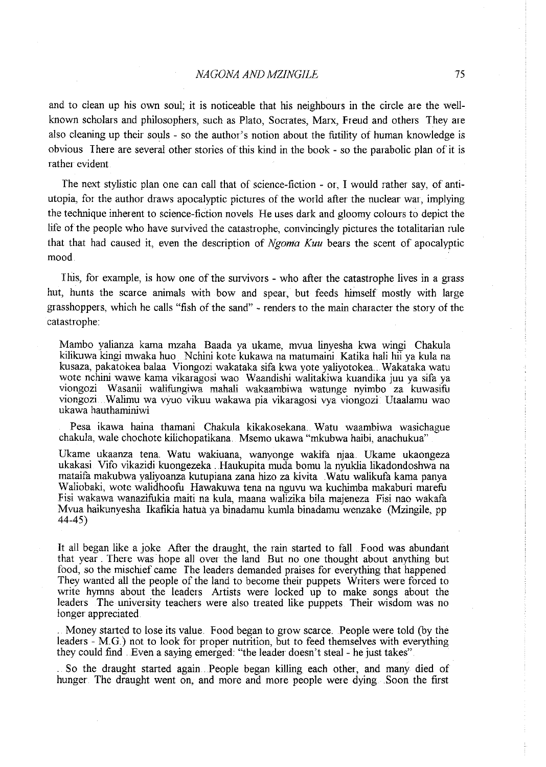and to clean up his own soul; it is noticeable that his neighbours in the circle are the wellknown scholars and philosophers, such as Plato, Socrates, Marx, Freud and others They are also cleaning up their souls - so the author's notion about the futility of human knowledge is obvious There are several other stories of this kind in the book - so the parabolic plan of it is rather evident

The next stylistic plan one can call that of science-fiction - or, I would rather say, of antiutopia, for the author draws apocalyptic pictures of the world after the nuclear war, implying the technique inherent to science-fiction novels He uses dark and gloomy colours to depict the life of the people who have survived the catastrophe, convincingly pictures the totalitarian rule that that had caused it, even the description of *Ngoma Kuu* bears the scent of apocalyptic mood

I his, for example, is how one of the survivors - who after the catastrophe lives in a grass hut, hunts the scarce animals with bow and spear, but feeds himself mostly with large grasshoppers, which he calls "fish of the sand" - renders to the main character the story of the catastrophe:

Mambo yalianza kama mzaha Baada ya ukame, mvua linyesha kwa wingi Chakula kilikuwa kingi mwaka huo. Nchini kote kukawa na matumaini Katika hali hii ya kula na kusaza, pakatokea balaa Viongozi wakataka sifa kwa yote yaliyotokea .. Wakataka watu wote nchini wawe kama vikaragosi wao Waandishi walitakiwa kuandika juu ya sifa ya viongozi Wasanii walifungiwa mahali wakaambiwa watunge nyimbo za kuwasifu viongozi .Walimu wa vyuo vikuu wakawa pia vikaragosi vya viongozi Utaalamu wao ukawa hautharniniwi

Pesa ikawa haina thamani Chakula kikakosekana. Watu waambiwa wasichague chakula, wale chochote kilichopatikana. Msemo ukawa "mkubwa haibi, anachukua"

Ukame ukaanza tena. Watu wakiuana, wanyonge wakifa njaa. Ukame ukaongeza ukakasi Vifo vikazidi kuongezeka . Haukupita muda bomu la nyuklia likadondoshwa na mataifa makubwa yaliyoanza kutupiana zana hizo za kivita .Watu walikufa kama panya Waliobaki, wote walidhoofu Hawakuwa tena na nguvu wa kuchimba makaburi marefu Fisi wakawa wanazifukia maiti na kula, maana walizika hila majeneza Fisi nao wakafa Mvua haikunyesha Ikafikia hatua ya binadamu kumla binadamu wenzake (Mzingile, pp 44-45)

It all began like a joke. After the draught, the rain started to fall. Food was abundant that year . There was hope all over the land But no one thought about anything but food, so the mischief came *The* leaders demanded praises for everything that happened They wanted all the people of the land to become their puppets Writers were forced to write hymns about the leaders Artists were locked up to make songs about the leaders The university teachers were also treated like puppets Their wisdom was no longer appreciated

Money started to lose its value. Food began to grow scarce .. People were told (by the leaders - M. G.) not to look for proper nutrition, but to feed themselves with everything they could find .Even a saying emerged: "the leader doesn't steal - he just takes"

So the draught started again .People began killing each other, and many died of hunger. The draught went on, and more and more people were dying. Soon the first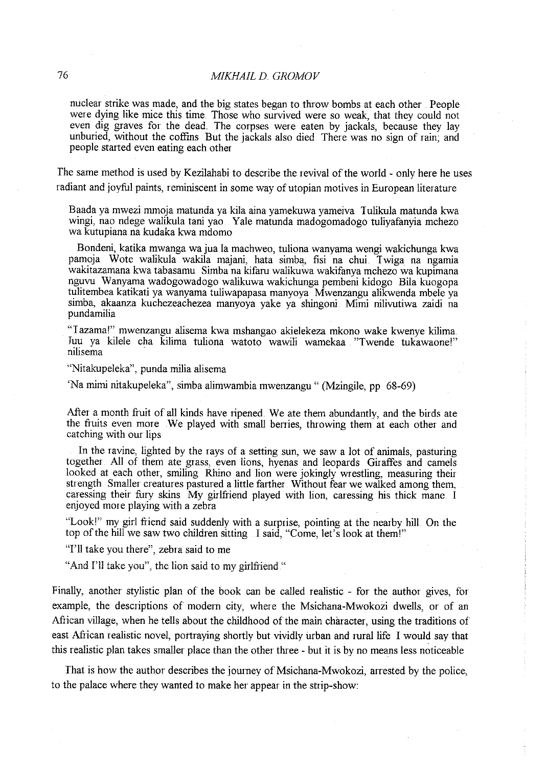nuclear strike was made, and the big states began to throw bombs at each other People were dying like mice this time Those who survived were so weak, that they could not even dig graves for the dead. The corpses were eaten by jackals, because they lay unburied, without the coffins But the jackals also died There was no sign of rain; and people started even eating each other

The same method is used by Kezilahabi to describe the revival of the world - only here he uses radiant and joyful paints, reminiscent in some way of utopian motives in European literature

Baada ya mwezi mmoja matunda ya kila aina yamekuwa yameiva 1 ulikula matunda kwa wingi, nao ndege walikula tani yao Yale matunda madogomadogo tuliyafanyia mchezo wa kutupiana na kudaka kwa mdomo

Bondeni, katika mwanga wa jua la machweo, tuliona wanyama wengi wakichunga kwa pamoja Wote walikula wakila majani, hata simba, fisi na chui Twiga na ngamia wakitazamana kwa tabasamu Simba na kifaru walikuwa wakifanya mchezo wa kupimana nguvu Wanyama wadogowadogo walikuwa wakichunga pembeni kidogo Bila kuogopa tulitembea katikati ya wanyama tuliwapapasa manyoya Mwenzangu alikwenda mbele ya simba, akaanza kuchezeachezea manyoya yake ya shingoni Mimi nilivutiwa zaidi na pundamilia

"I azama!" mwenzangu alisema kwa mshangao akielekeza mkono wake kwenye kilima. Juu ya kilele cha kilima tuliona watoto wawili wamekaa "Twende tukawaonel" nilisema

"Nitakupeleka", punda milia alisema

'Na mimi nitakupeleka", simba alimwambia mwenzangu" (Mzingile, pp 68-69)

After a month fruit of all kinds have ripened. We ate them abundantly, and the birds ate the fruits even more . We played with small berries, throwing them at each other and catching with our lips

In the ravine, lighted by the rays of a setting sun, we saw a lot of animals, pasturing together All of them ate grass, even lions, hyenas and leopards Giraffes and camels looked at each other, smiling Rhino and lion were jokingly wrestling, measuring their strength Smaller creatures pastured a little farther Without fear we walked among them, caressing their fury skins My girlfriend played with lion, caressing his thick mane. I enjoyed more playing with a zebra

"Look!" my girl friend said suddenly with a surprise, pointing at the nearby hill. On the top of the hill we saw two children sitting I said, "Come, let's look at them!"

"I'll take you there", zebra said to me

**"And I'll take you", the lion said to my girlfriend."** 

Finally, another stylistic plan of the book can be called realistic - for the author gives, for example, the descriptions of modern city, where the Msichana-Mwokozi dwells, or of an African village, when he tells about the childhood of the main character, using the traditions of east African realistic novel, portraying shortly but vividly urban and rural life I would say that this realistic plan takes smaller place than the other three - but it is by no means less noticeable

That is how the author describes the journey of Msichana-Mwokozi, arrested by the police, to the palace where they wanted to make her appear in the strip-show: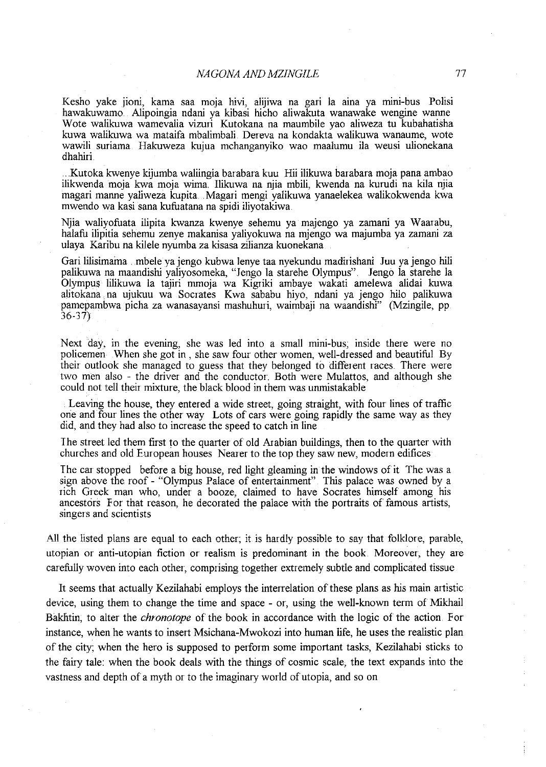Kesho yake jioni, kama saa moja hivi, alijiwa na gari la aina ya mini-bus Polisi hawakuwamo Alipoingia ndani ya kibasi hicho aliwakuta wanawake wengine wanne Wote walikuwa wamevalia vizuri Kutokana na maumbile yao aliweza tu kubahatisha kuwa walikuwa wa mataifa mbalimbali Dereva na kondakta walikuwa wanaume, wote wawili suriama. Hakuweza kujua mchanganyiko wao maalumu ila weusi ulionekana dhahiri

Kutoka kwenye kijumba waliingia barabara kuu Hii ilikuwa barabara moja pana ambao ilikwenda moja kwa moja wima. Ilikuwa na njia mbili, kwenda na kurudi na kila njia magari manne yaliweza kupita. Magari mengi yalikuwa yanaelekea walikokwenda kwa mwendo wa kasi sana kufuatana na spidi iliyotakiwa

Njia waliyofuata ilipita kwanza kwenye sehemu ya majengo ya zamani ya Waarabu, halafu ilipitia sehemu zenye makanisa yaliyokuwa na mjengo wa majumba ya zamani za ulaya Karibu na kilele nyumba za kisasa zilianza kuonekana

Gari lilisimama .mbele ya jengo kubwa lenye taa nyekundu madirishani **Juu** ya jengo hili palikuwa na maandishi yaliyosomeka, "Jengo la starehe Olympus" Jengo la starehe la Olympus lilikuwa la tajiri mmoja wa Kigriki ambaye wakati amelewa alidai kuwa alitokana. na ujukuu wa Socrates Kwa sababu hiyo, ndani ya jengo hilo palikuwa pamepambwa picha za wanasayansi mashuhuri, waimbaji na waandishi" (Mzingile, pp 36-37)

Next day, in the evemng, she was led into a small mini-bus; inside there were no policemen When she got in , she saw four other women, well-dressed and beautiful By their outlook she managed to guess that they belonged to different races. There were two men also - the driver and the conductor. Both were Mulattos, and although she could not tell their mixture, the black blood in them was umnistakable

Leaving the house, they entered a wide street, going straight, with four lines of traffic one and four lines the other way Lots of cars were going rapidly the same way as they did, and they had also to increase the speed to catch in line

I he street led them first to the quarter of old Arabian buildings, then to the quarter with churches and old European houses Nearer to the top they saw new, modem edifices

The car stopped before a big house, red light gleaming in the windows of it The was a sign above the roof- "Olympus Palace of entertainment" This palace was owned by a rich Greek man who, under a booze, claimed to have Socrates himself among his ancestors For that reason, he decorated the palace with the portraits of famous artists, singers and scientists

All the listed plans are equal to each other; it is hardly possible to say that folklore, parable, utopian or anti-utopian fiction or realism is predominant in the book Moreover, they are carefully woven into each other, comprising together extremely subtle and complicated tissue

It seems that actually Kezilahabi employs the interrelation of these plans as his main artistic device, using them to change the time and space - or, using the well-known term of Mikhail Bakhtin, to alter the *chronotope* of the book in accordance with the logic of the action. For instance, when he wants to insert Msichana-Mwokozi into human life, he uses the realistic plan of the city; when the hero is supposed to perform some important tasks, Kezilahabi sticks to the fairy tale: when the book deals with the things of cosmic scale, the text expands into the vastness and depth of a myth or to the imaginary world of utopia, and so on